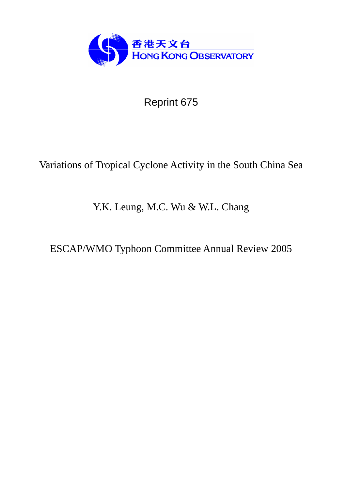

Reprint 675

# Variations of Tropical Cyclone Activity in the South China Sea

## Y.K. Leung, M.C. Wu & W.L. Chang

ESCAP/WMO Typhoon Committee Annual Review 2005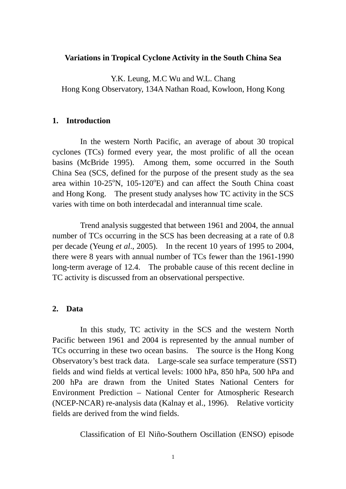#### **Variations in Tropical Cyclone Activity in the South China Sea**

Y.K. Leung, M.C Wu and W.L. Chang Hong Kong Observatory, 134A Nathan Road, Kowloon, Hong Kong

#### **1. Introduction**

In the western North Pacific, an average of about 30 tropical cyclones (TCs) formed every year, the most prolific of all the ocean basins (McBride 1995). Among them, some occurred in the South China Sea (SCS, defined for the purpose of the present study as the sea area within  $10-25^\circ N$ ,  $105-120^\circ E$ ) and can affect the South China coast and Hong Kong. The present study analyses how TC activity in the SCS varies with time on both interdecadal and interannual time scale.

Trend analysis suggested that between 1961 and 2004, the annual number of TCs occurring in the SCS has been decreasing at a rate of 0.8 per decade (Yeung *et al*., 2005). In the recent 10 years of 1995 to 2004, there were 8 years with annual number of TCs fewer than the 1961-1990 long-term average of 12.4. The probable cause of this recent decline in TC activity is discussed from an observational perspective.

#### **2. Data**

In this study, TC activity in the SCS and the western North Pacific between 1961 and 2004 is represented by the annual number of TCs occurring in these two ocean basins. The source is the Hong Kong Observatory's best track data. Large-scale sea surface temperature (SST) fields and wind fields at vertical levels: 1000 hPa, 850 hPa, 500 hPa and 200 hPa are drawn from the United States National Centers for Environment Prediction – National Center for Atmospheric Research (NCEP-NCAR) re-analysis data (Kalnay et al., 1996). Relative vorticity fields are derived from the wind fields.

Classification of El Niño-Southern Oscillation (ENSO) episode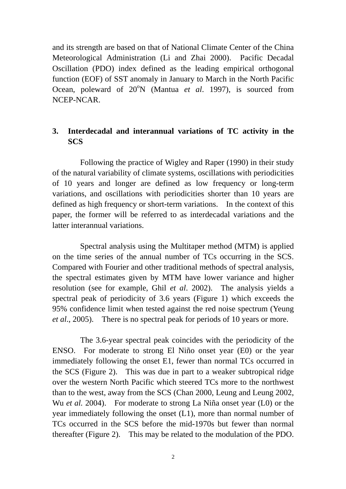and its strength are based on that of National Climate Center of the China Meteorological Administration (Li and Zhai 2000). Pacific Decadal Oscillation (PDO) index defined as the leading empirical orthogonal function (EOF) of SST anomaly in January to March in the North Pacific Ocean, poleward of 20<sup>°</sup>N (Mantua *et al.* 1997), is sourced from NCEP-NCAR.

### **3. Interdecadal and interannual variations of TC activity in the SCS**

Following the practice of Wigley and Raper (1990) in their study of the natural variability of climate systems, oscillations with periodicities of 10 years and longer are defined as low frequency or long-term variations, and oscillations with periodicities shorter than 10 years are defined as high frequency or short-term variations. In the context of this paper, the former will be referred to as interdecadal variations and the latter interannual variations.

Spectral analysis using the Multitaper method (MTM) is applied on the time series of the annual number of TCs occurring in the SCS. Compared with Fourier and other traditional methods of spectral analysis, the spectral estimates given by MTM have lower variance and higher resolution (see for example, Ghil *et al*. 2002). The analysis yields a spectral peak of periodicity of 3.6 years (Figure 1) which exceeds the 95% confidence limit when tested against the red noise spectrum (Yeung *et al*., 2005). There is no spectral peak for periods of 10 years or more.

The 3.6-year spectral peak coincides with the periodicity of the ENSO. For moderate to strong El Niño onset year (E0) or the year immediately following the onset E1, fewer than normal TCs occurred in the SCS (Figure 2). This was due in part to a weaker subtropical ridge over the western North Pacific which steered TCs more to the northwest than to the west, away from the SCS (Chan 2000, Leung and Leung 2002, Wu *et al.* 2004). For moderate to strong La Niña onset year (L0) or the year immediately following the onset (L1), more than normal number of TCs occurred in the SCS before the mid-1970s but fewer than normal thereafter (Figure 2). This may be related to the modulation of the PDO.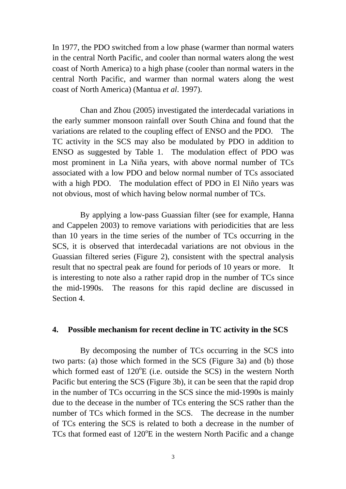In 1977, the PDO switched from a low phase (warmer than normal waters in the central North Pacific, and cooler than normal waters along the west coast of North America) to a high phase (cooler than normal waters in the central North Pacific, and warmer than normal waters along the west coast of North America) (Mantua *et al*. 1997).

Chan and Zhou (2005) investigated the interdecadal variations in the early summer monsoon rainfall over South China and found that the variations are related to the coupling effect of ENSO and the PDO. The TC activity in the SCS may also be modulated by PDO in addition to ENSO as suggested by Table 1. The modulation effect of PDO was most prominent in La Niña years, with above normal number of TCs associated with a low PDO and below normal number of TCs associated with a high PDO. The modulation effect of PDO in El Niño years was not obvious, most of which having below normal number of TCs.

By applying a low-pass Guassian filter (see for example, Hanna and Cappelen 2003) to remove variations with periodicities that are less than 10 years in the time series of the number of TCs occurring in the SCS, it is observed that interdecadal variations are not obvious in the Guassian filtered series (Figure 2), consistent with the spectral analysis result that no spectral peak are found for periods of 10 years or more. It is interesting to note also a rather rapid drop in the number of TCs since the mid-1990s. The reasons for this rapid decline are discussed in Section 4.

#### **4. Possible mechanism for recent decline in TC activity in the SCS**

By decomposing the number of TCs occurring in the SCS into two parts: (a) those which formed in the SCS (Figure 3a) and (b) those which formed east of  $120^{\circ}E$  (i.e. outside the SCS) in the western North Pacific but entering the SCS (Figure 3b), it can be seen that the rapid drop in the number of TCs occurring in the SCS since the mid-1990s is mainly due to the decease in the number of TCs entering the SCS rather than the number of TCs which formed in the SCS. The decrease in the number of TCs entering the SCS is related to both a decrease in the number of TCs that formed east of 120°E in the western North Pacific and a change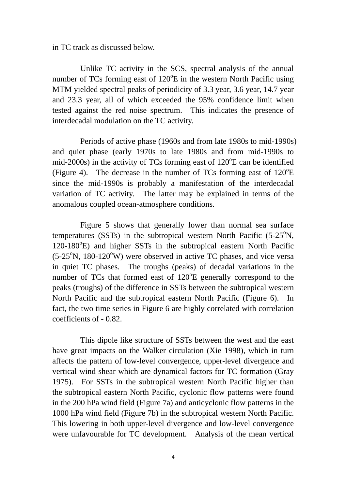in TC track as discussed below.

 Unlike TC activity in the SCS, spectral analysis of the annual number of TCs forming east of  $120^{\circ}E$  in the western North Pacific using MTM yielded spectral peaks of periodicity of 3.3 year, 3.6 year, 14.7 year and 23.3 year, all of which exceeded the 95% confidence limit when tested against the red noise spectrum. This indicates the presence of interdecadal modulation on the TC activity.

Periods of active phase (1960s and from late 1980s to mid-1990s) and quiet phase (early 1970s to late 1980s and from mid-1990s to mid-2000s) in the activity of TCs forming east of  $120^{\circ}$ E can be identified (Figure 4). The decrease in the number of TCs forming east of  $120^{\circ}E$ since the mid-1990s is probably a manifestation of the interdecadal variation of TC activity. The latter may be explained in terms of the anomalous coupled ocean-atmosphere conditions.

Figure 5 shows that generally lower than normal sea surface temperatures (SSTs) in the subtropical western North Pacific  $(5-25^{\circ}N,$ 120-180°E) and higher SSTs in the subtropical eastern North Pacific  $(5-25^{\circ}N, 180-120^{\circ}W)$  were observed in active TC phases, and vice versa in quiet TC phases. The troughs (peaks) of decadal variations in the number of TCs that formed east of  $120^{\circ}E$  generally correspond to the peaks (troughs) of the difference in SSTs between the subtropical western North Pacific and the subtropical eastern North Pacific (Figure 6). In fact, the two time series in Figure 6 are highly correlated with correlation coefficients of - 0.82.

This dipole like structure of SSTs between the west and the east have great impacts on the Walker circulation (Xie 1998), which in turn affects the pattern of low-level convergence, upper-level divergence and vertical wind shear which are dynamical factors for TC formation (Gray 1975). For SSTs in the subtropical western North Pacific higher than the subtropical eastern North Pacific, cyclonic flow patterns were found in the 200 hPa wind field (Figure 7a) and anticyclonic flow patterns in the 1000 hPa wind field (Figure 7b) in the subtropical western North Pacific. This lowering in both upper-level divergence and low-level convergence were unfavourable for TC development. Analysis of the mean vertical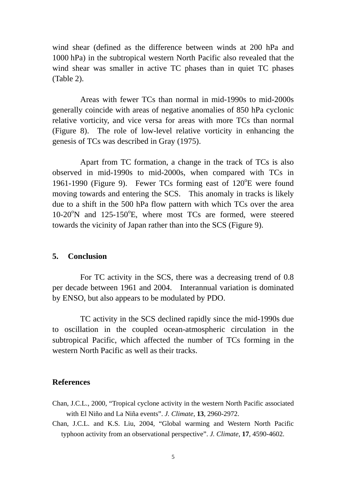wind shear (defined as the difference between winds at 200 hPa and 1000 hPa) in the subtropical western North Pacific also revealed that the wind shear was smaller in active TC phases than in quiet TC phases (Table 2).

Areas with fewer TCs than normal in mid-1990s to mid-2000s generally coincide with areas of negative anomalies of 850 hPa cyclonic relative vorticity, and vice versa for areas with more TCs than normal (Figure 8). The role of low-level relative vorticity in enhancing the genesis of TCs was described in Gray (1975).

Apart from TC formation, a change in the track of TCs is also observed in mid-1990s to mid-2000s, when compared with TCs in 1961-1990 (Figure 9). Fewer TCs forming east of  $120^{\circ}$ E were found moving towards and entering the SCS. This anomaly in tracks is likely due to a shift in the 500 hPa flow pattern with which TCs over the area 10-20<sup>o</sup>N and 125-150<sup>o</sup>E, where most TCs are formed, were steered towards the vicinity of Japan rather than into the SCS (Figure 9).

#### **5. Conclusion**

For TC activity in the SCS, there was a decreasing trend of 0.8 per decade between 1961 and 2004. Interannual variation is dominated by ENSO, but also appears to be modulated by PDO.

TC activity in the SCS declined rapidly since the mid-1990s due to oscillation in the coupled ocean-atmospheric circulation in the subtropical Pacific, which affected the number of TCs forming in the western North Pacific as well as their tracks.

#### **References**

- Chan, J.C.L., 2000, "Tropical cyclone activity in the western North Pacific associated with El Niño and La Niña events". *J. Climate*, **13**, 2960-2972.
- Chan, J.C.L. and K.S. Liu, 2004, "Global warming and Western North Pacific typhoon activity from an observational perspective". *J. Climate*, **17**, 4590-4602.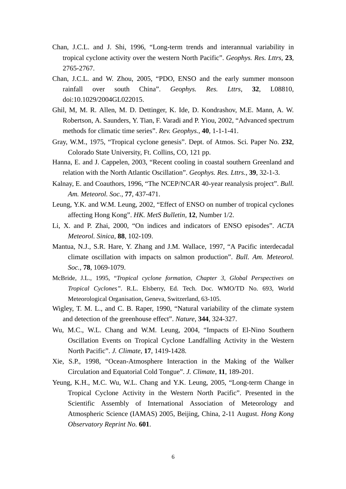- Chan, J.C.L. and J. Shi, 1996, "Long-term trends and interannual variability in tropical cyclone activity over the western North Pacific". *Geophys. Res. Lttrs*, **23**, 2765-2767.
- Chan, J.C.L. and W. Zhou, 2005, "PDO, ENSO and the early summer monsoon rainfall over south China". *Geophys. Res. Lttrs*, **32**, L08810, doi:10.1029/2004GL022015.
- Ghil, M, M. R. Allen, M. D. Dettinger, K. Ide, D. Kondrashov, M.E. Mann, A. W. Robertson, A. Saunders, Y. Tian, F. Varadi and P. Yiou, 2002, "Advanced spectrum methods for climatic time series". *Rev. Geophys.*, **40**, 1-1-1-41.
- Gray, W.M., 1975, "Tropical cyclone genesis". Dept. of Atmos. Sci. Paper No. **232**, Colorado State University, Ft. Collins, CO, 121 pp.
- Hanna, E. and J. Cappelen, 2003, "Recent cooling in coastal southern Greenland and relation with the North Atlantic Oscillation". *Geophys. Res. Lttrs.*, **39**, 32-1-3.
- Kalnay, E. and Coauthors, 1996, "The NCEP/NCAR 40-year reanalysis project". *Bull. Am. Meteorol. Soc.,* **77**, 437-471.
- Leung, Y.K. and W.M. Leung, 2002, "Effect of ENSO on number of tropical cyclones affecting Hong Kong". *HK. MetS Bulletin,* **12**, Number 1/2.
- Li, X. and P. Zhai, 2000, "On indices and indicators of ENSO episodes". *ACTA Meteorol. Sinica,* **88**, 102-109.
- Mantua, N.J., S.R. Hare, Y. Zhang and J.M. Wallace, 1997, "A Pacific interdecadal climate oscillation with impacts on salmon production". *Bull. Am. Meteorol. Soc.,* **78**, 1069-1079.
- McBride, J.L., 1995, "*Tropical cyclone formation, Chapter 3, Global Perspectives on Tropical Cyclones"*. R.L. Elsberry, Ed. Tech. Doc. WMO/TD No. 693, World Meteorological Organisation, Geneva, Switzerland, 63-105.
- Wigley, T. M. L., and C. B. Raper, 1990, "Natural variability of the climate system and detection of the greenhouse effect". *Nature*, **344**, 324-327.
- Wu, M.C., W.L. Chang and W.M. Leung, 2004, "Impacts of El-Nino Southern Oscillation Events on Tropical Cyclone Landfalling Activity in the Western North Pacific". *J. Climate*, **17**, 1419-1428.
- Xie, S.P., 1998, "Ocean-Atmosphere Interaction in the Making of the Walker Circulation and Equatorial Cold Tongue". *J. Climate*, **11**, 189-201.
- Yeung, K.H., M.C. Wu, W.L. Chang and Y.K. Leung, 2005, "Long-term Change in Tropical Cyclone Activity in the Western North Pacific". Presented in the Scientific Assembly of International Association of Meteorology and Atmospheric Science (IAMAS) 2005, Beijing, China, 2-11 August. *Hong Kong Observatory Reprint No.* **601**.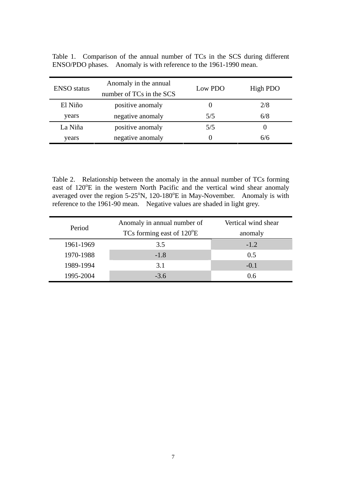| <b>ENSO</b> status | Anomaly in the annual<br>number of TCs in the SCS | Low PDO | High PDO |
|--------------------|---------------------------------------------------|---------|----------|
| El Niño            | positive anomaly                                  |         | 2/8      |
| years              | negative anomaly                                  | 5/5     | 6/8      |
| La Niña            | positive anomaly                                  | 5/5     |          |
| years              | negative anomaly                                  |         | 6/6      |

Table 1. Comparison of the annual number of TCs in the SCS during different ENSO/PDO phases. Anomaly is with reference to the 1961-1990 mean.

Table 2. Relationship between the anomaly in the annual number of TCs forming east of 120°E in the western North Pacific and the vertical wind shear anomaly averaged over the region  $5{\text -}25^{\circ}N$ , 120-180 $^{\circ}E$  in May-November. Anomaly is with reference to the 1961-90 mean. Negative values are shaded in light grey.

| Period    | Anomaly in annual number of        | Vertical wind shear |
|-----------|------------------------------------|---------------------|
|           | TCs forming east of $120^{\circ}E$ | anomaly             |
| 1961-1969 | 3.5                                | $-1.2$              |
| 1970-1988 | $-1.8$                             | 0.5                 |
| 1989-1994 | 3.1                                | $-0.1$              |
| 1995-2004 | $-3.6$                             | 0.6                 |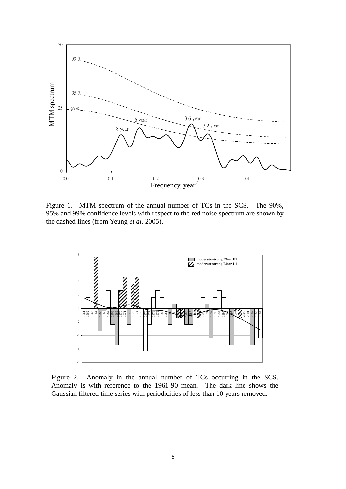

Figure 1. MTM spectrum of the annual number of TCs in the SCS. The 90%, 95% and 99% confidence levels with respect to the red noise spectrum are shown by the dashed lines (from Yeung *et al.* 2005).



Figure 2. Anomaly in the annual number of TCs occurring in the SCS. Anomaly is with reference to the 1961-90 mean. The dark line shows the Gaussian filtered time series with periodicities of less than 10 years removed.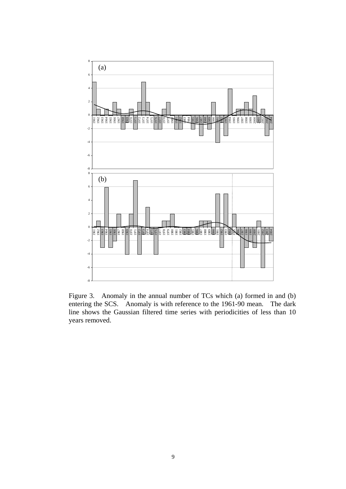

Figure 3. Anomaly in the annual number of TCs which (a) formed in and (b) entering the SCS. Anomaly is with reference to the 1961-90 mean. The dark line shows the Gaussian filtered time series with periodicities of less than 10 years removed.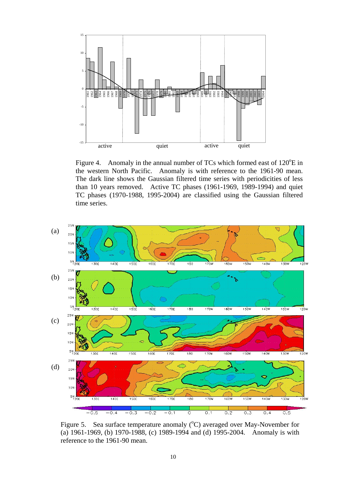

Figure 4. Anomaly in the annual number of TCs which formed east of  $120^{\circ}E$  in the western North Pacific. Anomaly is with reference to the 1961-90 mean. The dark line shows the Gaussian filtered time series with periodicities of less than 10 years removed. Active TC phases (1961-1969, 1989-1994) and quiet TC phases (1970-1988, 1995-2004) are classified using the Gaussian filtered time series.



Figure 5. Sea surface temperature anomaly  $(^{\circ}C)$  averaged over May-November for (a) 1961-1969, (b) 1970-1988, (c) 1989-1994 and (d) 1995-2004. Anomaly is with reference to the 1961-90 mean.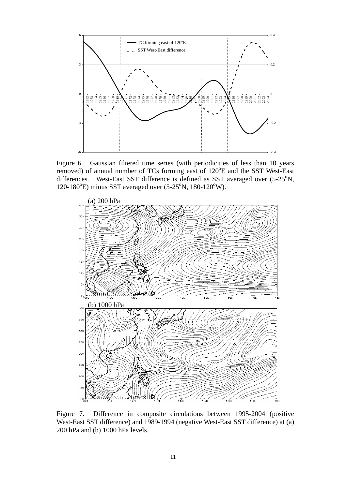

Figure 6. Gaussian filtered time series (with periodicities of less than 10 years removed) of annual number of TCs forming east of 120°E and the SST West-East differences. West-East SST difference is defined as SST averaged over  $(5-25^{\circ}N,$  $120-180^{\circ}$ E) minus SST averaged over  $(5-25^{\circ}N, 180-120^{\circ}W)$ .



Figure 7. Difference in composite circulations between 1995-2004 (positive West-East SST difference) and 1989-1994 (negative West-East SST difference) at (a) 200 hPa and (b) 1000 hPa levels.